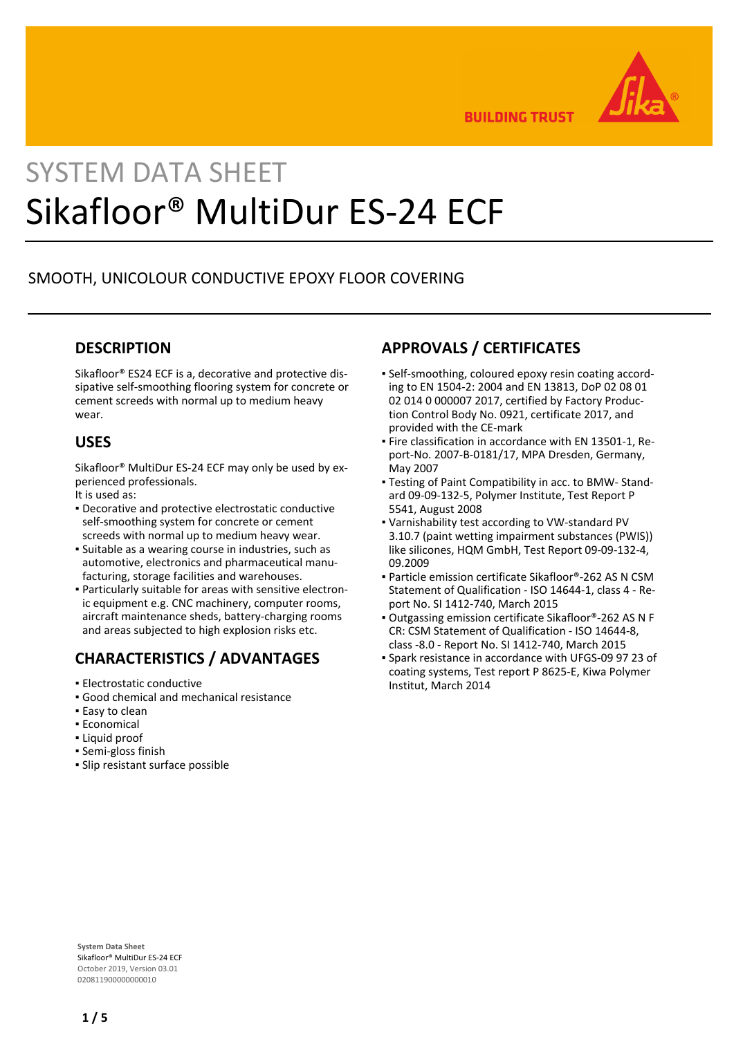

**BUILDING TRUST** 

# SYSTEM DATA SHEET Sikafloor® MultiDur ES-24 ECF

## SMOOTH, UNICOLOUR CONDUCTIVE EPOXY FLOOR COVERING

#### **DESCRIPTION**

Sikafloor® ES24 ECF is a, decorative and protective dissipative self-smoothing flooring system for concrete or cement screeds with normal up to medium heavy wear.

#### **USES**

Sikafloor® MultiDur ES-24 ECF may only be used by experienced professionals.

It is used as:

- **Decorative and protective electrostatic conductive** self-smoothing system for concrete or cement screeds with normal up to medium heavy wear.
- **·** Suitable as a wearing course in industries, such as automotive, electronics and pharmaceutical manufacturing, storage facilities and warehouses.
- Particularly suitable for areas with sensitive electron-▪ ic equipment e.g. CNC machinery, computer rooms, aircraft maintenance sheds, battery-charging rooms and areas subjected to high explosion risks etc.

#### **CHARACTERISTICS / ADVANTAGES**

- **Electrostatic conductive**
- Good chemical and mechanical resistance
- **Easy to clean**
- Economical
- Liquid proof
- Semi-gloss finish
- Slip resistant surface possible

#### **APPROVALS / CERTIFICATES**

- Self-smoothing, coloured epoxy resin coating accord-▪ ing to EN 1504-2: 2004 and EN 13813, DoP 02 08 01 02 014 0 000007 2017, certified by Factory Production Control Body No. 0921, certificate 2017, and provided with the CE-mark
- Fire classification in accordance with EN 13501-1, Re-▪ port-No. 2007-B-0181/17, MPA Dresden, Germany, May 2007
- Testing of Paint Compatibility in acc. to BMW- Stand-▪ ard 09-09-132-5, Polymer Institute, Test Report P 5541, August 2008
- Varnishability test according to VW-standard PV 3.10.7 (paint wetting impairment substances (PWIS)) like silicones, HQM GmbH, Test Report 09-09-132-4, 09.2009
- Particle emission certificate Sikafloor®-262 AS N CSM Statement of Qualification - ISO 14644-1, class 4 - Report No. SI 1412-740, March 2015
- Outgassing emission certificate Sikafloor®-262 AS N F CR: CSM Statement of Qualification - ISO 14644-8, class -8.0 - Report No. SI 1412-740, March 2015
- Spark resistance in accordance with UFGS-09 97 23 of coating systems, Test report P 8625-E, Kiwa Polymer Institut, March 2014

**System Data Sheet** Sikafloor® MultiDur ES-24 ECF October 2019, Version 03.01 020811900000000010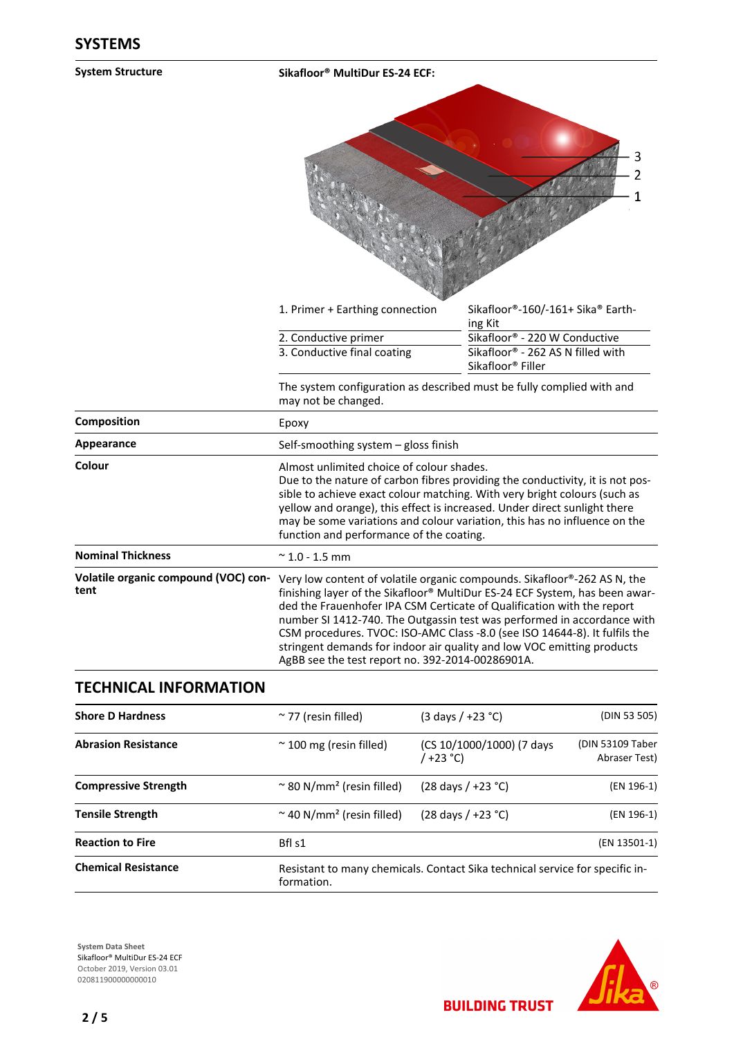| <b>System Structure</b>                      | Sikafloor <sup>®</sup> MultiDur ES-24 ECF:                                                                                                                                                                                                                                                                                                                                                                                                                                                                               |                                                                                |
|----------------------------------------------|--------------------------------------------------------------------------------------------------------------------------------------------------------------------------------------------------------------------------------------------------------------------------------------------------------------------------------------------------------------------------------------------------------------------------------------------------------------------------------------------------------------------------|--------------------------------------------------------------------------------|
|                                              |                                                                                                                                                                                                                                                                                                                                                                                                                                                                                                                          | 1                                                                              |
|                                              | 1. Primer + Earthing connection                                                                                                                                                                                                                                                                                                                                                                                                                                                                                          | Sikafloor®-160/-161+ Sika® Earth-<br>ing Kit                                   |
|                                              | 2. Conductive primer                                                                                                                                                                                                                                                                                                                                                                                                                                                                                                     | Sikafloor® - 220 W Conductive                                                  |
|                                              | 3. Conductive final coating                                                                                                                                                                                                                                                                                                                                                                                                                                                                                              | Sikafloor <sup>®</sup> - 262 AS N filled with<br>Sikafloor <sup>®</sup> Filler |
|                                              | The system configuration as described must be fully complied with and<br>may not be changed.                                                                                                                                                                                                                                                                                                                                                                                                                             |                                                                                |
| Composition                                  | Epoxy                                                                                                                                                                                                                                                                                                                                                                                                                                                                                                                    |                                                                                |
| Appearance                                   | Self-smoothing system - gloss finish                                                                                                                                                                                                                                                                                                                                                                                                                                                                                     |                                                                                |
| Colour                                       | Almost unlimited choice of colour shades.<br>Due to the nature of carbon fibres providing the conductivity, it is not pos-<br>sible to achieve exact colour matching. With very bright colours (such as<br>yellow and orange), this effect is increased. Under direct sunlight there<br>may be some variations and colour variation, this has no influence on the<br>function and performance of the coating.                                                                                                            |                                                                                |
| <b>Nominal Thickness</b>                     | $\approx$ 1.0 - 1.5 mm                                                                                                                                                                                                                                                                                                                                                                                                                                                                                                   |                                                                                |
| Volatile organic compound (VOC) con-<br>tent | Very low content of volatile organic compounds. Sikafloor®-262 AS N, the<br>finishing layer of the Sikafloor® MultiDur ES-24 ECF System, has been awar-<br>ded the Frauenhofer IPA CSM Certicate of Qualification with the report<br>number SI 1412-740. The Outgassin test was performed in accordance with<br>CSM procedures. TVOC: ISO-AMC Class -8.0 (see ISO 14644-8). It fulfils the<br>stringent demands for indoor air quality and low VOC emitting products<br>AgBB see the test report no. 392-2014-00286901A. |                                                                                |
| <b>TECHNICAL INFORMATION</b>                 |                                                                                                                                                                                                                                                                                                                                                                                                                                                                                                                          |                                                                                |

| <b>Shore D Hardness</b>     | $\approx$ 77 (resin filled)                | $(3 \text{ days } / +23 \degree C)$                                          | (DIN 53 505)                      |
|-----------------------------|--------------------------------------------|------------------------------------------------------------------------------|-----------------------------------|
| <b>Abrasion Resistance</b>  | $\approx$ 100 mg (resin filled)            | (CS 10/1000/1000) (7 days<br>/ +23 °C)                                       | (DIN 53109 Taber<br>Abraser Test) |
| <b>Compressive Strength</b> | ~ 80 N/mm <sup>2</sup> (resin filled)      | $(28 \text{ days} / +23 \text{ °C})$                                         | (EN 196-1)                        |
| <b>Tensile Strength</b>     | $\sim$ 40 N/mm <sup>2</sup> (resin filled) | $(28 \text{ days} / +23 \text{ °C})$                                         | (EN 196-1)                        |
| <b>Reaction to Fire</b>     | Bfl s1                                     |                                                                              | (EN 13501-1)                      |
| <b>Chemical Resistance</b>  | formation.                                 | Resistant to many chemicals. Contact Sika technical service for specific in- |                                   |

**System Data Sheet** Sikafloor® MultiDur ES-24 ECF October 2019, Version 03.01 0208119000000000010



**BUILDING TRUST**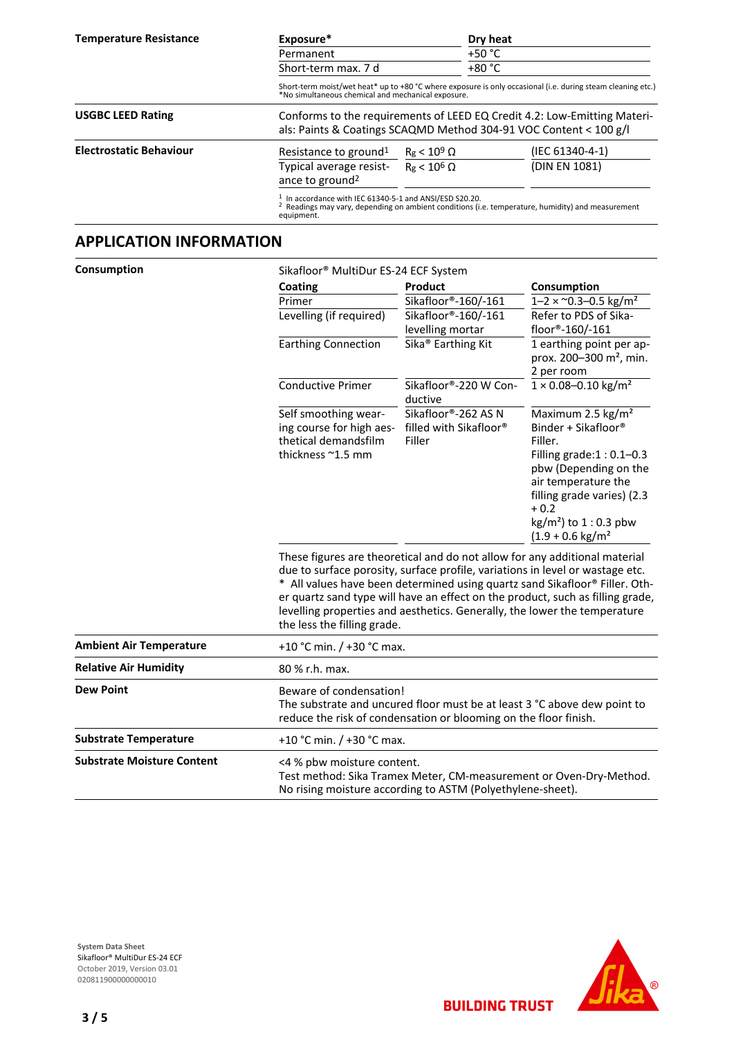| <b>Temperature Resistance</b>  | Exposure*                                                                                                                                     |                                                                                                                                                                   | Dry heat |                                                                                                              |  |
|--------------------------------|-----------------------------------------------------------------------------------------------------------------------------------------------|-------------------------------------------------------------------------------------------------------------------------------------------------------------------|----------|--------------------------------------------------------------------------------------------------------------|--|
|                                | Permanent                                                                                                                                     |                                                                                                                                                                   |          | $+50 °C$                                                                                                     |  |
|                                | Short-term max. 7 d                                                                                                                           |                                                                                                                                                                   |          | $+80 °C$                                                                                                     |  |
|                                |                                                                                                                                               | Short-term moist/wet heat* up to +80 °C where exposure is only occasional (i.e. during steam cleaning etc.)<br>*No simultaneous chemical and mechanical exposure. |          |                                                                                                              |  |
| <b>USGBC LEED Rating</b>       | Conforms to the requirements of LEED EQ Credit 4.2: Low-Emitting Materi-<br>als: Paints & Coatings SCAQMD Method 304-91 VOC Content < 100 g/l |                                                                                                                                                                   |          |                                                                                                              |  |
| <b>Electrostatic Behaviour</b> | Resistance to ground <sup>1</sup>                                                                                                             | $R_g < 10^9 \Omega$                                                                                                                                               |          | (IEC 61340-4-1)                                                                                              |  |
|                                | Typical average resist-<br>ance to ground <sup>2</sup>                                                                                        | $Re < 10^6 \Omega$                                                                                                                                                |          | (DIN EN 1081)                                                                                                |  |
|                                | $1$ In accordance with IEC 61340-5-1 and ANSI/ESD S20.20.<br>equipment.                                                                       |                                                                                                                                                                   |          | <sup>2</sup> Readings may vary, depending on ambient conditions (i.e. temperature, humidity) and measurement |  |

#### **APPLICATION INFORMATION**

| Consumption | Sikafloor <sup>®</sup> MultiDur ES-24 ECF System |
|-------------|--------------------------------------------------|
|             |                                                  |

|                                   | Coating                                                                                                                                                                                                                                                                                                                                                                                                                                  | Product                                                    | Consumption                                                                                                                                                                                                                                                   |  |
|-----------------------------------|------------------------------------------------------------------------------------------------------------------------------------------------------------------------------------------------------------------------------------------------------------------------------------------------------------------------------------------------------------------------------------------------------------------------------------------|------------------------------------------------------------|---------------------------------------------------------------------------------------------------------------------------------------------------------------------------------------------------------------------------------------------------------------|--|
|                                   | Primer                                                                                                                                                                                                                                                                                                                                                                                                                                   | Sikafloor®-160/-161                                        | $1 - 2 \times 0.3 - 0.5$ kg/m <sup>2</sup><br>Refer to PDS of Sika-<br>floor®-160/-161                                                                                                                                                                        |  |
|                                   | Levelling (if required)                                                                                                                                                                                                                                                                                                                                                                                                                  | Sikafloor®-160/-161<br>levelling mortar                    |                                                                                                                                                                                                                                                               |  |
|                                   | <b>Earthing Connection</b>                                                                                                                                                                                                                                                                                                                                                                                                               | Sika <sup>®</sup> Earthing Kit                             | 1 earthing point per ap-<br>prox. 200-300 m <sup>2</sup> , min.<br>2 per room                                                                                                                                                                                 |  |
|                                   | <b>Conductive Primer</b>                                                                                                                                                                                                                                                                                                                                                                                                                 | Sikafloor®-220 W Con-<br>ductive                           | $1 \times 0.08 - 0.10$ kg/m <sup>2</sup>                                                                                                                                                                                                                      |  |
|                                   | Self smoothing wear-<br>ing course for high aes-<br>thetical demandsfilm<br>thickness ~1.5 mm                                                                                                                                                                                                                                                                                                                                            | Sikafloor®-262 AS N<br>filled with Sikafloor®<br>Filler    | Maximum 2.5 kg/m <sup>2</sup><br>Binder + Sikafloor <sup>®</sup><br>Filler.<br>Filling grade: $1:0.1-0.3$<br>pbw (Depending on the<br>air temperature the<br>filling grade varies) (2.3<br>$+0.2$<br>$kg/m2$ ) to 1 : 0.3 pbw<br>$(1.9 + 0.6 \text{ kg/m}^2)$ |  |
|                                   | These figures are theoretical and do not allow for any additional material<br>due to surface porosity, surface profile, variations in level or wastage etc.<br>* All values have been determined using quartz sand Sikafloor® Filler. Oth-<br>er quartz sand type will have an effect on the product, such as filling grade,<br>levelling properties and aesthetics. Generally, the lower the temperature<br>the less the filling grade. |                                                            |                                                                                                                                                                                                                                                               |  |
| <b>Ambient Air Temperature</b>    |                                                                                                                                                                                                                                                                                                                                                                                                                                          | +10 °C min. / +30 °C max.                                  |                                                                                                                                                                                                                                                               |  |
| <b>Relative Air Humidity</b>      | 80 % r.h. max.                                                                                                                                                                                                                                                                                                                                                                                                                           |                                                            |                                                                                                                                                                                                                                                               |  |
| <b>Dew Point</b>                  | Beware of condensation!<br>The substrate and uncured floor must be at least 3 °C above dew point to<br>reduce the risk of condensation or blooming on the floor finish.                                                                                                                                                                                                                                                                  |                                                            |                                                                                                                                                                                                                                                               |  |
| <b>Substrate Temperature</b>      | +10 °C min. / +30 °C max.                                                                                                                                                                                                                                                                                                                                                                                                                |                                                            |                                                                                                                                                                                                                                                               |  |
| <b>Substrate Moisture Content</b> | <4 % pbw moisture content.                                                                                                                                                                                                                                                                                                                                                                                                               | No rising moisture according to ASTM (Polyethylene-sheet). | Test method: Sika Tramex Meter, CM-measurement or Oven-Dry-Method.                                                                                                                                                                                            |  |





**BUILDING TRUST**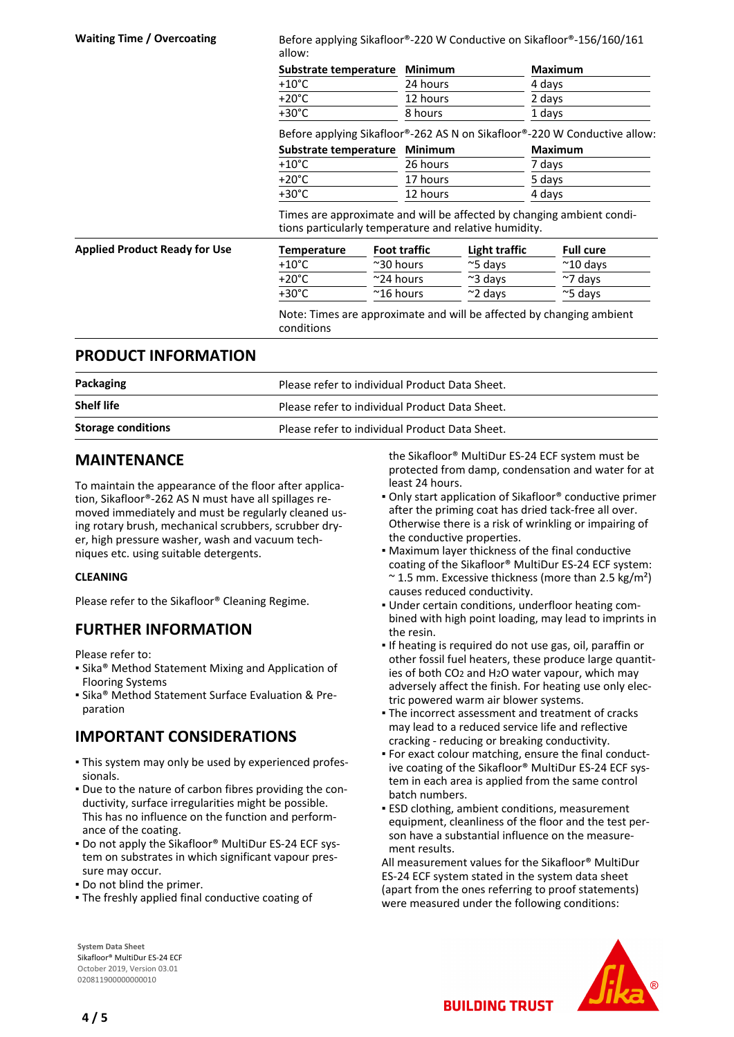Waiting Time / Overcoating Before applying Sikafloor®-220 W Conductive on Sikafloor®-156/160/161 allow:

| Substrate temperature Minimum |          | <b>Maximum</b> |
|-------------------------------|----------|----------------|
| +10°C                         | 24 hours | 4 days         |
| +20°C                         | 12 hours | 2 days         |
| +30°C                         | 8 hours  | 1 days         |

Before applying Sikafloor®-262 AS N on Sikafloor®-220 W Conductive allow:

| Substrate temperature Minimum |          | Maximum |
|-------------------------------|----------|---------|
| $+10^{\circ}$ C               | 26 hours | 7 days  |
| $+20^{\circ}$ C               | 17 hours | 5 days  |
| +30°C                         | 12 hours | 4 days  |

Times are approximate and will be affected by changing ambient conditions particularly temperature and relative humidity.

| <b>Applied Product Ready for Use</b> | Temperature     | <b>Foot traffic</b> | Light traffic    | <b>Full cure</b>   |
|--------------------------------------|-----------------|---------------------|------------------|--------------------|
|                                      | $+10^{\circ}$ C | $~^{\sim}$ 30 hours | $\approx$ 5 davs | $~^{\sim}$ 10 days |
|                                      | $+20^{\circ}$ C | $\sim$ 24 hours     | $\approx$ 3 davs | $\sim$ 7 davs      |
|                                      | +30°C           | $^{\sim}$ 16 hours  | $\approx$ 2 davs | $\approx$ 5 davs   |

Note: Times are approximate and will be affected by changing ambient conditions

#### **PRODUCT INFORMATION**

| Packaging                 | Please refer to individual Product Data Sheet. |  |
|---------------------------|------------------------------------------------|--|
| <b>Shelf life</b>         | Please refer to individual Product Data Sheet. |  |
| <b>Storage conditions</b> | Please refer to individual Product Data Sheet. |  |

#### **MAINTENANCE**

To maintain the appearance of the floor after application, Sikafloor®-262 AS N must have all spillages removed immediately and must be regularly cleaned using rotary brush, mechanical scrubbers, scrubber dryer, high pressure washer, wash and vacuum techniques etc. using suitable detergents.

#### **CLEANING**

Please refer to the Sikafloor® Cleaning Regime.

#### **FURTHER INFORMATION**

Please refer to:

- **Example 3 Method Statement Mixing and Application of** Flooring Systems
- **E** Sika® Method Statement Surface Evaluation & Preparation

#### **IMPORTANT CONSIDERATIONS**

- This system may only be used by experienced profes-▪ sionals.
- Due to the nature of carbon fibres providing the con-▪ ductivity, surface irregularities might be possible. This has no influence on the function and performance of the coating.
- Do not apply the Sikafloor® MultiDur ES-24 ECF sys-▪ tem on substrates in which significant vapour pressure may occur.
- Do not blind the primer.
- The freshly applied final conductive coating of

the Sikafloor® MultiDur ES-24 ECF system must be protected from damp, condensation and water for at least 24 hours.

- Only start application of Sikafloor® conductive primer after the priming coat has dried tack-free all over. Otherwise there is a risk of wrinkling or impairing of the conductive properties.
- **Maximum layer thickness of the final conductive** coating of the Sikafloor® MultiDur ES-24 ECF system:  $\approx$  1.5 mm. Excessive thickness (more than 2.5 kg/m<sup>2</sup>) causes reduced conductivity.
- Under certain conditions, underfloor heating com-▪ bined with high point loading, may lead to imprints in the resin.
- **.** If heating is required do not use gas, oil, paraffin or other fossil fuel heaters, these produce large quantities of both CO2 and H2O water vapour, which may adversely affect the finish. For heating use only electric powered warm air blower systems.
- The incorrect assessment and treatment of cracks may lead to a reduced service life and reflective cracking - reducing or breaking conductivity.
- For exact colour matching, ensure the final conduct-▪ ive coating of the Sikafloor® MultiDur ES-24 ECF system in each area is applied from the same control batch numbers.
- **ESD clothing, ambient conditions, measurement** equipment, cleanliness of the floor and the test person have a substantial influence on the measurement results.

All measurement values for the Sikafloor® MultiDur ES-24 ECF system stated in the system data sheet (apart from the ones referring to proof statements) were measured under the following conditions:

**BUILDING TRUST** 



**System Data Sheet** Sikafloor® MultiDur ES-24 ECF October 2019, Version 03.01 020811900000000010